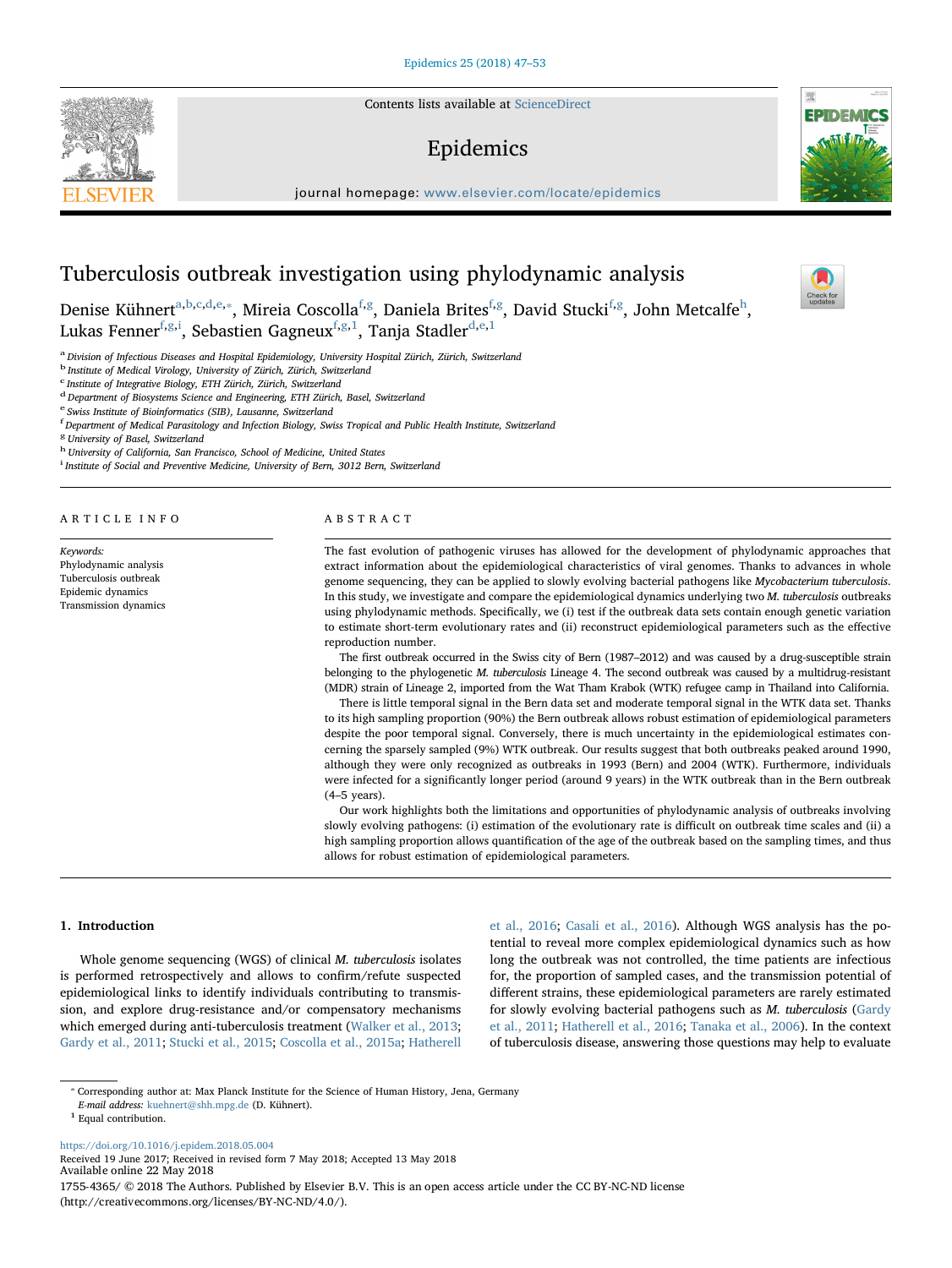Contents lists available at [ScienceDirect](http://www.sciencedirect.com/science/journal/17554365)

# Epidemics

journal homepage: [www.elsevier.com/locate/epidemics](https://www.elsevier.com/locate/epidemics)



 $\frac{N}{2}$ 

# Tuberculosis outbreak investigation using phylodynamic analysis

Denise Kühnert<sup>[a](#page-0-0)[,b,](#page-0-1)[c](#page-0-2),[d](#page-0-3)[,e](#page-0-4),</sup>\*, Mireia Coscolla<sup>[f](#page-0-6)[,g](#page-0-7)</sup>, Daniela Brites<sup>f,[g](#page-0-7)</sup>, David Stucki<sup>[f,](#page-0-6)g</sup>, Jo[h](#page-0-8)n Metcalfe<sup>h</sup>, Lukas Fenner $^{\rm f,g,i}$  $^{\rm f,g,i}$  $^{\rm f,g,i}$  $^{\rm f,g,i}$  $^{\rm f,g,i}$ , Sebastien Gagneux $^{\rm f,g,1}$  $^{\rm f,g,1}$  $^{\rm f,g,1}$  $^{\rm f,g,1}$  $^{\rm f,g,1}$ , Tanja Stadler $^{\rm d,e,1}$  $^{\rm d,e,1}$  $^{\rm d,e,1}$  $^{\rm d,e,1}$ 

<span id="page-0-0"></span><sup>a</sup> Division of Infectious Diseases and Hospital Epidemiology, University Hospital Zürich, Zürich, Switzerland

<span id="page-0-1"></span><sup>b</sup> Institute of Medical Virology, University of Zürich, Zürich, Switzerland

<span id="page-0-2"></span>c Institute of Integrative Biology, ETH Zürich, Zürich, Switzerland

<span id="page-0-3"></span><sup>d</sup> Department of Biosystems Science and Engineering, ETH Zürich, Basel, Switzerland

<span id="page-0-4"></span><sup>e</sup> Swiss Institute of Bioinformatics (SIB), Lausanne, Switzerland

<span id="page-0-6"></span><sup>f</sup> Department of Medical Parasitology and Infection Biology, Swiss Tropical and Public Health Institute, Switzerland

<span id="page-0-7"></span><sup>8</sup> University of Basel, Switzerland

<span id="page-0-8"></span>h University of California, San Francisco, School of Medicine, United States

<span id="page-0-9"></span><sup>i</sup> Institute of Social and Preventive Medicine, University of Bern, 3012 Bern, Switzerland

ARTICLE INFO

Keywords: Phylodynamic analysis Tuberculosis outbreak Epidemic dynamics Transmission dynamics

#### ABSTRACT

The fast evolution of pathogenic viruses has allowed for the development of phylodynamic approaches that extract information about the epidemiological characteristics of viral genomes. Thanks to advances in whole genome sequencing, they can be applied to slowly evolving bacterial pathogens like Mycobacterium tuberculosis. In this study, we investigate and compare the epidemiological dynamics underlying two M. tuberculosis outbreaks using phylodynamic methods. Specifically, we (i) test if the outbreak data sets contain enough genetic variation to estimate short-term evolutionary rates and (ii) reconstruct epidemiological parameters such as the effective reproduction number.

The first outbreak occurred in the Swiss city of Bern (1987–2012) and was caused by a drug-susceptible strain belonging to the phylogenetic M. tuberculosis Lineage 4. The second outbreak was caused by a multidrug-resistant (MDR) strain of Lineage 2, imported from the Wat Tham Krabok (WTK) refugee camp in Thailand into California.

There is little temporal signal in the Bern data set and moderate temporal signal in the WTK data set. Thanks to its high sampling proportion (90%) the Bern outbreak allows robust estimation of epidemiological parameters despite the poor temporal signal. Conversely, there is much uncertainty in the epidemiological estimates concerning the sparsely sampled (9%) WTK outbreak. Our results suggest that both outbreaks peaked around 1990, although they were only recognized as outbreaks in 1993 (Bern) and 2004 (WTK). Furthermore, individuals were infected for a significantly longer period (around 9 years) in the WTK outbreak than in the Bern outbreak (4–5 years).

Our work highlights both the limitations and opportunities of phylodynamic analysis of outbreaks involving slowly evolving pathogens: (i) estimation of the evolutionary rate is difficult on outbreak time scales and (ii) a high sampling proportion allows quantification of the age of the outbreak based on the sampling times, and thus allows for robust estimation of epidemiological parameters.

# 1. Introduction

Whole genome sequencing (WGS) of clinical M. tuberculosis isolates is performed retrospectively and allows to confirm/refute suspected epidemiological links to identify individuals contributing to transmission, and explore drug-resistance and/or compensatory mechanisms which emerged during anti-tuberculosis treatment [\(Walker et al., 2013](#page-6-0); [Gardy et al., 2011;](#page-6-1) [Stucki et al., 2015;](#page-6-2) [Coscolla et al., 2015a](#page-6-3); [Hatherell](#page-6-4)

[et al., 2016;](#page-6-4) [Casali et al., 2016\)](#page-6-5). Although WGS analysis has the potential to reveal more complex epidemiological dynamics such as how long the outbreak was not controlled, the time patients are infectious for, the proportion of sampled cases, and the transmission potential of different strains, these epidemiological parameters are rarely estimated for slowly evolving bacterial pathogens such as M. tuberculosis [\(Gardy](#page-6-1) [et al., 2011;](#page-6-1) [Hatherell et al., 2016](#page-6-4); [Tanaka et al., 2006\)](#page-6-6). In the context of tuberculosis disease, answering those questions may help to evaluate

E-mail address: [kuehnert@shh.mpg.de](mailto:kuehnert@shh.mpg.de) (D. Kühnert).

<https://doi.org/10.1016/j.epidem.2018.05.004>

Received 19 June 2017; Received in revised form 7 May 2018; Accepted 13 May 2018 Available online 22 May 2018 1755-4365/ © 2018 The Authors. Published by Elsevier B.V. This is an open access article under the CC BY-NC-ND license (http://creativecommons.org/licenses/BY-NC-ND/4.0/).

<span id="page-0-5"></span><sup>⁎</sup> Corresponding author at: Max Planck Institute for the Science of Human History, Jena, Germany

<span id="page-0-10"></span> $^{\rm 1}$  Equal contribution.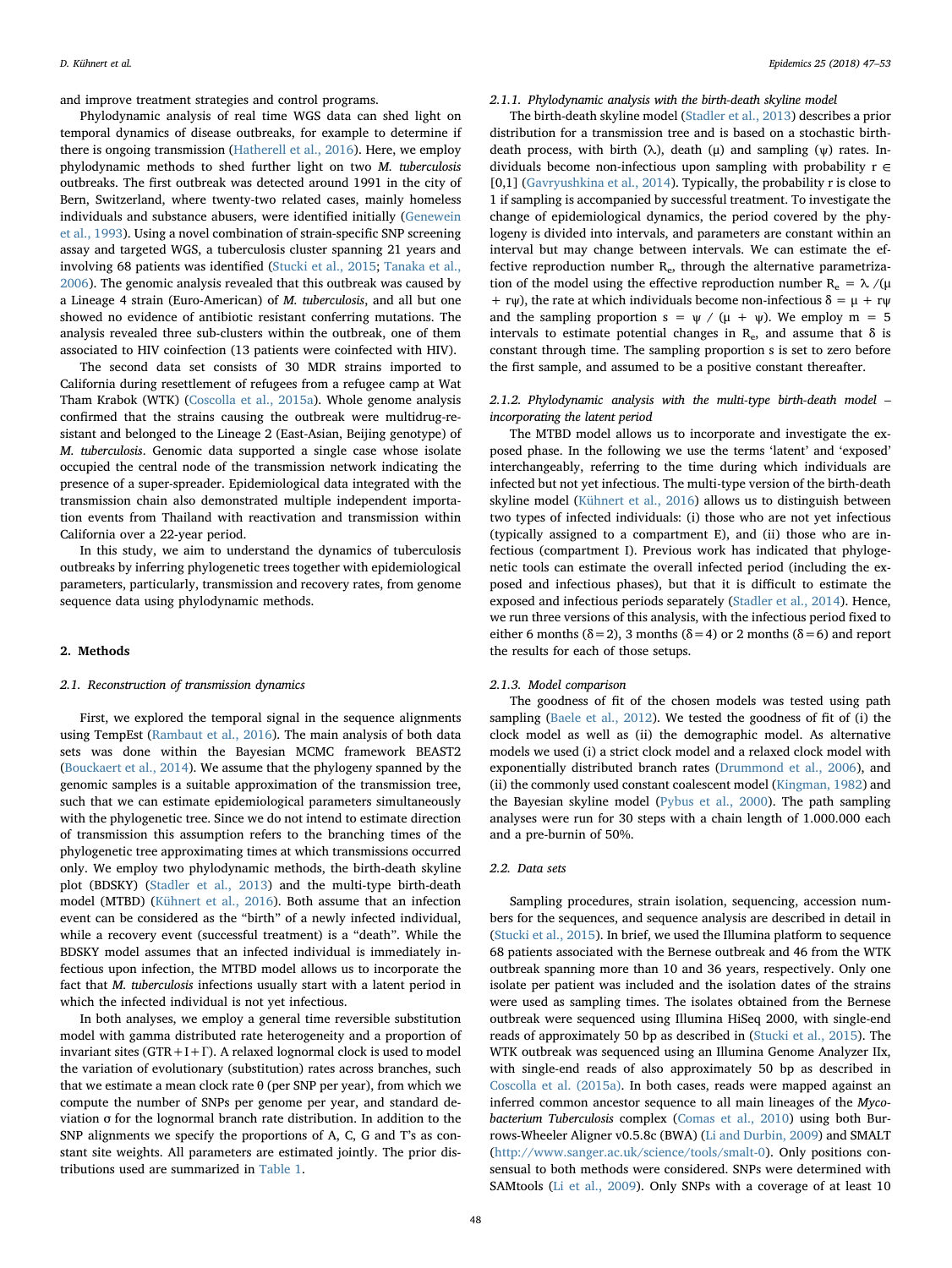and improve treatment strategies and control programs.

Phylodynamic analysis of real time WGS data can shed light on temporal dynamics of disease outbreaks, for example to determine if there is ongoing transmission [\(Hatherell et al., 2016](#page-6-4)). Here, we employ phylodynamic methods to shed further light on two M. tuberculosis outbreaks. The first outbreak was detected around 1991 in the city of Bern, Switzerland, where twenty-two related cases, mainly homeless individuals and substance abusers, were identified initially ([Genewein](#page-6-7) [et al., 1993\)](#page-6-7). Using a novel combination of strain-specific SNP screening assay and targeted WGS, a tuberculosis cluster spanning 21 years and involving 68 patients was identified ([Stucki et al., 2015;](#page-6-2) [Tanaka et al.,](#page-6-6) [2006\)](#page-6-6). The genomic analysis revealed that this outbreak was caused by a Lineage 4 strain (Euro-American) of M. tuberculosis, and all but one showed no evidence of antibiotic resistant conferring mutations. The analysis revealed three sub-clusters within the outbreak, one of them associated to HIV coinfection (13 patients were coinfected with HIV).

The second data set consists of 30 MDR strains imported to California during resettlement of refugees from a refugee camp at Wat Tham Krabok (WTK) [\(Coscolla et al., 2015a](#page-6-3)). Whole genome analysis confirmed that the strains causing the outbreak were multidrug-resistant and belonged to the Lineage 2 (East-Asian, Beijing genotype) of M. tuberculosis. Genomic data supported a single case whose isolate occupied the central node of the transmission network indicating the presence of a super-spreader. Epidemiological data integrated with the transmission chain also demonstrated multiple independent importation events from Thailand with reactivation and transmission within California over a 22-year period.

In this study, we aim to understand the dynamics of tuberculosis outbreaks by inferring phylogenetic trees together with epidemiological parameters, particularly, transmission and recovery rates, from genome sequence data using phylodynamic methods.

# 2. Methods

## 2.1. Reconstruction of transmission dynamics

First, we explored the temporal signal in the sequence alignments using TempEst [\(Rambaut et al., 2016](#page-6-8)). The main analysis of both data sets was done within the Bayesian MCMC framework BEAST2 ([Bouckaert et al., 2014](#page-6-9)). We assume that the phylogeny spanned by the genomic samples is a suitable approximation of the transmission tree, such that we can estimate epidemiological parameters simultaneously with the phylogenetic tree. Since we do not intend to estimate direction of transmission this assumption refers to the branching times of the phylogenetic tree approximating times at which transmissions occurred only. We employ two phylodynamic methods, the birth-death skyline plot (BDSKY) ([Stadler et al., 2013](#page-6-10)) and the multi-type birth-death model (MTBD) [\(Kühnert et al., 2016](#page-6-11)). Both assume that an infection event can be considered as the "birth" of a newly infected individual, while a recovery event (successful treatment) is a "death". While the BDSKY model assumes that an infected individual is immediately infectious upon infection, the MTBD model allows us to incorporate the fact that M. tuberculosis infections usually start with a latent period in which the infected individual is not yet infectious.

In both analyses, we employ a general time reversible substitution model with gamma distributed rate heterogeneity and a proportion of invariant sites ( $GTR+I+\Gamma$ ). A relaxed lognormal clock is used to model the variation of evolutionary (substitution) rates across branches, such that we estimate a mean clock rate θ (per SNP per year), from which we compute the number of SNPs per genome per year, and standard deviation σ for the lognormal branch rate distribution. In addition to the SNP alignments we specify the proportions of A, C, G and T's as constant site weights. All parameters are estimated jointly. The prior distributions used are summarized in [Table 1.](#page-2-0)

#### 2.1.1. Phylodynamic analysis with the birth-death skyline model

The birth-death skyline model [\(Stadler et al., 2013](#page-6-10)) describes a prior distribution for a transmission tree and is based on a stochastic birthdeath process, with birth ( $\lambda$ ), death ( $\mu$ ) and sampling ( $\psi$ ) rates. Individuals become non-infectious upon sampling with probability  $r \in$ [0,1] ([Gavryushkina et al., 2014\)](#page-6-12). Typically, the probability r is close to 1 if sampling is accompanied by successful treatment. To investigate the change of epidemiological dynamics, the period covered by the phylogeny is divided into intervals, and parameters are constant within an interval but may change between intervals. We can estimate the effective reproduction number  $R_e$ , through the alternative parametrization of the model using the effective reproduction number  $R_e = \lambda / \mu$  $+$  rw), the rate at which individuals become non-infectious  $\delta = \mu + rw$ and the sampling proportion  $s = \psi / (\mu + \psi)$ . We employ m = 5 intervals to estimate potential changes in  $R_e$ , and assume that  $\delta$  is constant through time. The sampling proportion s is set to zero before the first sample, and assumed to be a positive constant thereafter.

## 2.1.2. Phylodynamic analysis with the multi-type birth-death model – incorporating the latent period

The MTBD model allows us to incorporate and investigate the exposed phase. In the following we use the terms 'latent' and 'exposed' interchangeably, referring to the time during which individuals are infected but not yet infectious. The multi-type version of the birth-death skyline model [\(Kühnert et al., 2016\)](#page-6-11) allows us to distinguish between two types of infected individuals: (i) those who are not yet infectious (typically assigned to a compartment E), and (ii) those who are infectious (compartment I). Previous work has indicated that phylogenetic tools can estimate the overall infected period (including the exposed and infectious phases), but that it is difficult to estimate the exposed and infectious periods separately ([Stadler et al., 2014\)](#page-6-13). Hence, we run three versions of this analysis, with the infectious period fixed to either 6 months ( $\delta$  = 2), 3 months ( $\delta$  = 4) or 2 months ( $\delta$  = 6) and report the results for each of those setups.

## 2.1.3. Model comparison

The goodness of fit of the chosen models was tested using path sampling ([Baele et al., 2012](#page-6-14)). We tested the goodness of fit of (i) the clock model as well as (ii) the demographic model. As alternative models we used (i) a strict clock model and a relaxed clock model with exponentially distributed branch rates [\(Drummond et al., 2006](#page-6-15)), and (ii) the commonly used constant coalescent model [\(Kingman, 1982\)](#page-6-16) and the Bayesian skyline model [\(Pybus et al., 2000\)](#page-6-17). The path sampling analyses were run for 30 steps with a chain length of 1.000.000 each and a pre-burnin of 50%.

#### 2.2. Data sets

Sampling procedures, strain isolation, sequencing, accession numbers for the sequences, and sequence analysis are described in detail in ([Stucki et al., 2015\)](#page-6-2). In brief, we used the Illumina platform to sequence 68 patients associated with the Bernese outbreak and 46 from the WTK outbreak spanning more than 10 and 36 years, respectively. Only one isolate per patient was included and the isolation dates of the strains were used as sampling times. The isolates obtained from the Bernese outbreak were sequenced using Illumina HiSeq 2000, with single-end reads of approximately 50 bp as described in ([Stucki et al., 2015\)](#page-6-2). The WTK outbreak was sequenced using an Illumina Genome Analyzer IIx, with single-end reads of also approximately 50 bp as described in [Coscolla et al. \(2015a\).](#page-6-3) In both cases, reads were mapped against an inferred common ancestor sequence to all main lineages of the Mycobacterium Tuberculosis complex [\(Comas et al., 2010\)](#page-6-18) using both Burrows-Wheeler Aligner v0.5.8c (BWA) ([Li and Durbin, 2009](#page-6-19)) and SMALT (<http://www.sanger.ac.uk/science/tools/smalt-0>). Only positions consensual to both methods were considered. SNPs were determined with SAMtools [\(Li et al., 2009](#page-6-20)). Only SNPs with a coverage of at least 10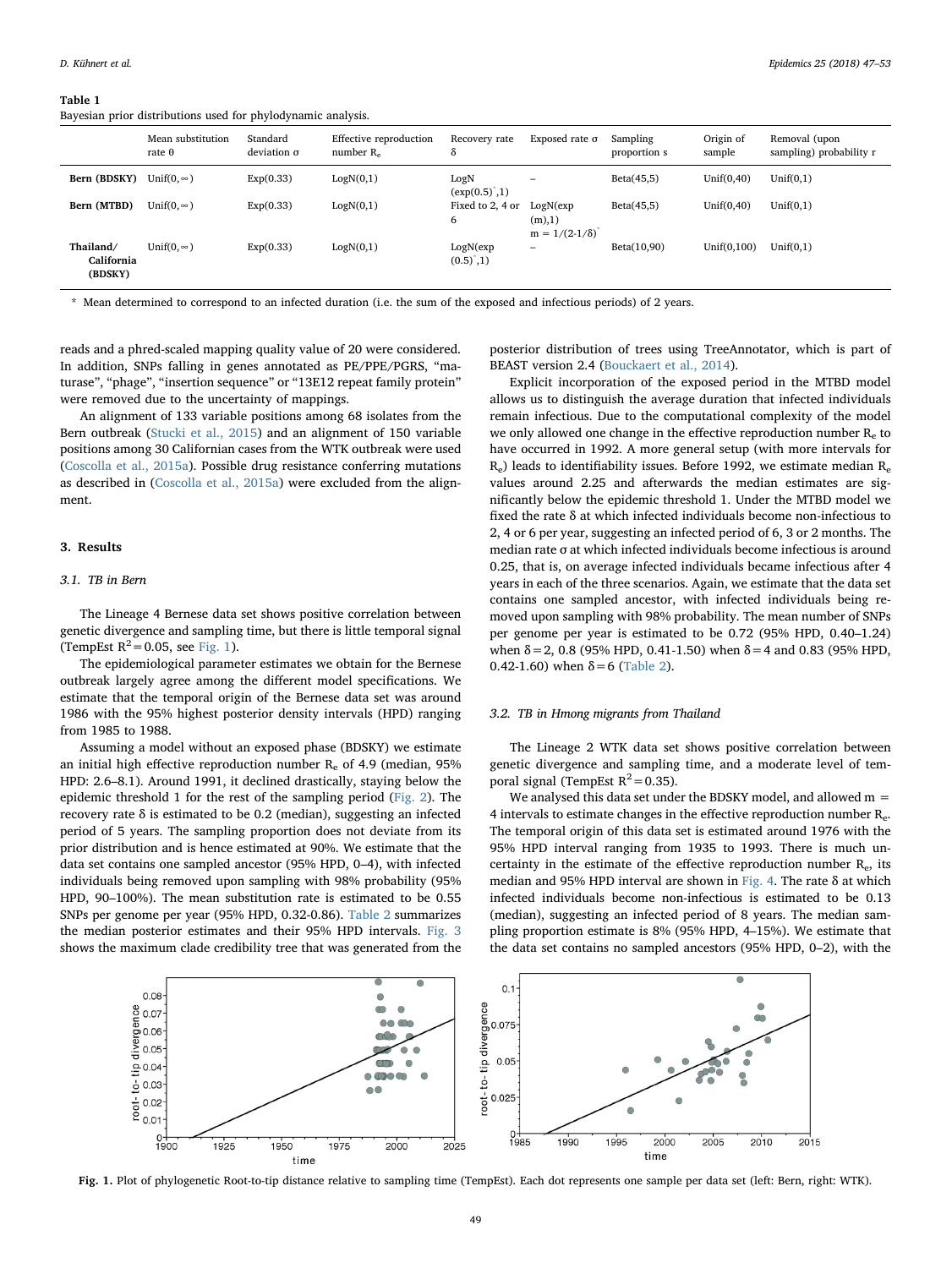#### <span id="page-2-0"></span>Table 1

Bayesian prior distributions used for phylodynamic analysis.

|                                    | Mean substitution<br>rate $\theta$ | Standard<br>deviation $\sigma$ | Effective reproduction<br>number $R_e$ | Recovery rate<br>δ                 | Exposed rate $\sigma$                       | Sampling<br>proportion s | Origin of<br>sample | Removal (upon<br>sampling) probability r |
|------------------------------------|------------------------------------|--------------------------------|----------------------------------------|------------------------------------|---------------------------------------------|--------------------------|---------------------|------------------------------------------|
| Bern (BDSKY)                       | Unif( $0, \infty$ )                | Exp(0.33)                      | LogN(0,1)                              | LogN<br>$(exp(0.5)^{\degree}, 1)$  | -                                           | Beta(45,5)               | Unif $(0, 40)$      | Unif(0,1)                                |
| Bern (MTBD)                        | Unif(0, $\infty$ )                 | Exp(0.33)                      | LogN(0,1)                              | Fixed to 2, 4 or<br>6              | LogN(exp)<br>(m),1)<br>$m = 1/(2-1/\delta)$ | Beta(45,5)               | Unif $(0, 40)$      | Unif(0,1)                                |
| Thailand/<br>California<br>(BDSKY) | Unif( $0, \infty$ )                | Exp(0.33)                      | LogN(0,1)                              | LogN(exp)<br>$(0.5)^{^{\circ}},1)$ | -                                           | Beta(10,90)              | Unif(0,100)         | Unif(0,1)                                |

<span id="page-2-2"></span>\* Mean determined to correspond to an infected duration (i.e. the sum of the exposed and infectious periods) of 2 years.

reads and a phred-scaled mapping quality value of 20 were considered. In addition, SNPs falling in genes annotated as PE/PPE/PGRS, "maturase", "phage", "insertion sequence" or "13E12 repeat family protein" were removed due to the uncertainty of mappings.

An alignment of 133 variable positions among 68 isolates from the Bern outbreak ([Stucki et al., 2015](#page-6-2)) and an alignment of 150 variable positions among 30 Californian cases from the WTK outbreak were used ([Coscolla et al., 2015a](#page-6-3)). Possible drug resistance conferring mutations as described in [\(Coscolla et al., 2015a\)](#page-6-3) were excluded from the alignment.

#### 3. Results

## 3.1. TB in Bern

The Lineage 4 Bernese data set shows positive correlation between genetic divergence and sampling time, but there is little temporal signal (TempEst  $R^2 = 0.05$ , see [Fig. 1\)](#page-2-1).

The epidemiological parameter estimates we obtain for the Bernese outbreak largely agree among the different model specifications. We estimate that the temporal origin of the Bernese data set was around 1986 with the 95% highest posterior density intervals (HPD) ranging from 1985 to 1988.

Assuming a model without an exposed phase (BDSKY) we estimate an initial high effective reproduction number  $R_e$  of 4.9 (median, 95% HPD: 2.6–8.1). Around 1991, it declined drastically, staying below the epidemic threshold 1 for the rest of the sampling period ([Fig. 2](#page-3-0)). The recovery rate δ is estimated to be 0.2 (median), suggesting an infected period of 5 years. The sampling proportion does not deviate from its prior distribution and is hence estimated at 90%. We estimate that the data set contains one sampled ancestor (95% HPD, 0–4), with infected individuals being removed upon sampling with 98% probability (95% HPD, 90–100%). The mean substitution rate is estimated to be 0.55 SNPs per genome per year (95% HPD, 0.32-0.86). [Table 2](#page-3-1) summarizes the median posterior estimates and their 95% HPD intervals. [Fig. 3](#page-4-0) shows the maximum clade credibility tree that was generated from the

posterior distribution of trees using TreeAnnotator, which is part of BEAST version 2.4 [\(Bouckaert et al., 2014](#page-6-9)).

Explicit incorporation of the exposed period in the MTBD model allows us to distinguish the average duration that infected individuals remain infectious. Due to the computational complexity of the model we only allowed one change in the effective reproduction number  $R_e$  to have occurred in 1992. A more general setup (with more intervals for  $R_e$ ) leads to identifiability issues. Before 1992, we estimate median  $R_e$ values around 2.25 and afterwards the median estimates are significantly below the epidemic threshold 1. Under the MTBD model we fixed the rate δ at which infected individuals become non-infectious to 2, 4 or 6 per year, suggesting an infected period of 6, 3 or 2 months. The median rate σ at which infected individuals become infectious is around 0.25, that is, on average infected individuals became infectious after 4 years in each of the three scenarios. Again, we estimate that the data set contains one sampled ancestor, with infected individuals being removed upon sampling with 98% probability. The mean number of SNPs per genome per year is estimated to be 0.72 (95% HPD, 0.40–1.24) when  $\delta$  = 2, 0.8 (95% HPD, 0.41-1.50) when  $\delta$  = 4 and 0.83 (95% HPD, 0.42-1.60) when  $\delta = 6$  [\(Table 2](#page-3-1)).

#### 3.2. TB in Hmong migrants from Thailand

The Lineage 2 WTK data set shows positive correlation between genetic divergence and sampling time, and a moderate level of temporal signal (TempEst  $R^2 = 0.35$ ).

We analysed this data set under the BDSKY model, and allowed  $m =$ 4 intervals to estimate changes in the effective reproduction number Re. The temporal origin of this data set is estimated around 1976 with the 95% HPD interval ranging from 1935 to 1993. There is much uncertainty in the estimate of the effective reproduction number Re, its median and 95% HPD interval are shown in [Fig. 4](#page-4-1). The rate δ at which infected individuals become non-infectious is estimated to be 0.13 (median), suggesting an infected period of 8 years. The median sampling proportion estimate is 8% (95% HPD, 4–15%). We estimate that the data set contains no sampled ancestors (95% HPD, 0–2), with the

<span id="page-2-1"></span>

Fig. 1. Plot of phylogenetic Root-to-tip distance relative to sampling time (TempEst). Each dot represents one sample per data set (left: Bern, right: WTK).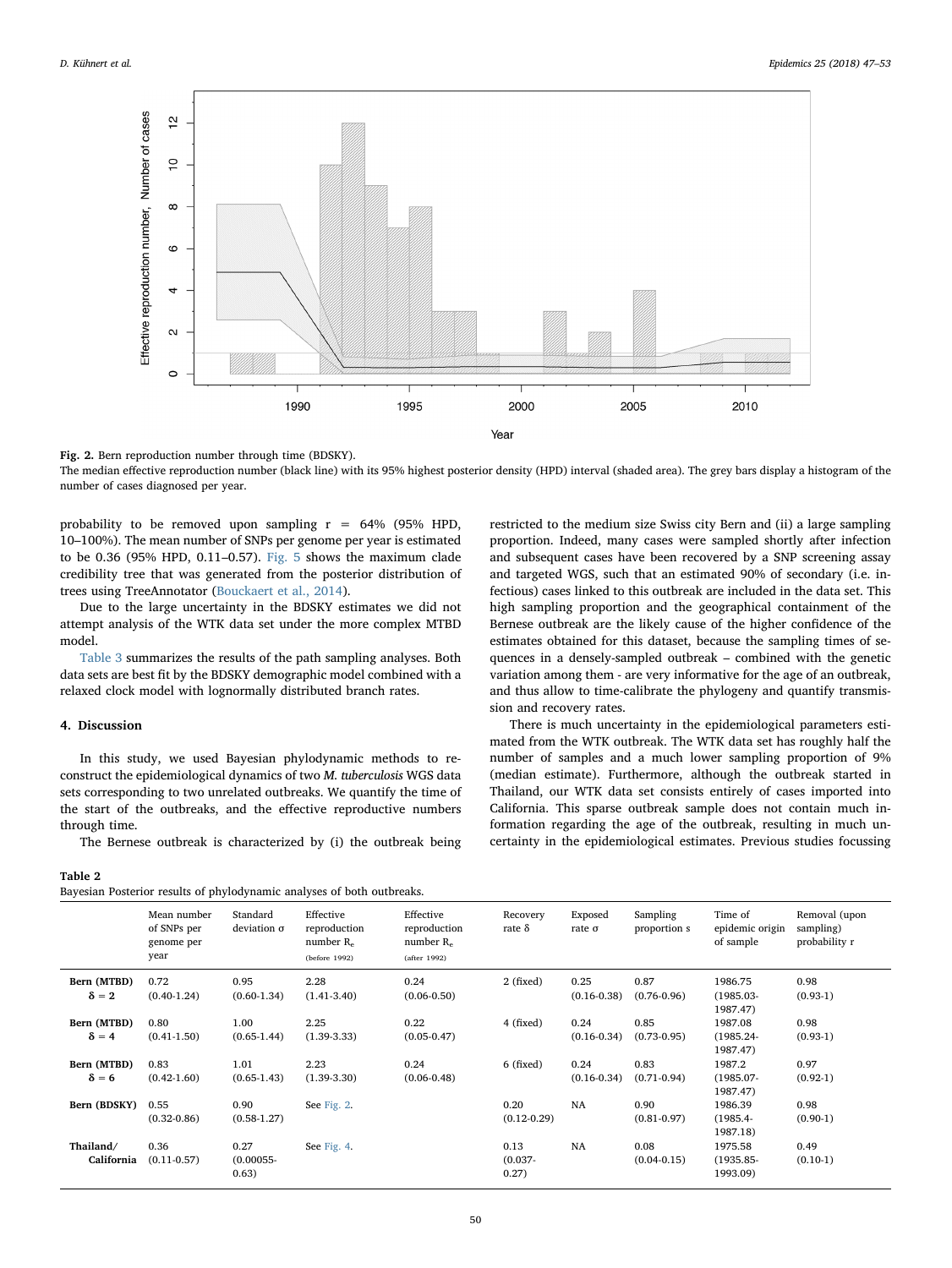<span id="page-3-0"></span>

Fig. 2. Bern reproduction number through time (BDSKY).

The median effective reproduction number (black line) with its 95% highest posterior density (HPD) interval (shaded area). The grey bars display a histogram of the number of cases diagnosed per year.

probability to be removed upon sampling  $r = 64%$  (95% HPD, 10–100%). The mean number of SNPs per genome per year is estimated to be 0.36 (95% HPD, 0.11–0.57). [Fig. 5](#page-5-0) shows the maximum clade credibility tree that was generated from the posterior distribution of trees using TreeAnnotator ([Bouckaert et al., 2014](#page-6-9)).

Due to the large uncertainty in the BDSKY estimates we did not attempt analysis of the WTK data set under the more complex MTBD model.

[Table 3](#page-5-1) summarizes the results of the path sampling analyses. Both data sets are best fit by the BDSKY demographic model combined with a relaxed clock model with lognormally distributed branch rates.

## 4. Discussion

In this study, we used Bayesian phylodynamic methods to reconstruct the epidemiological dynamics of two M. tuberculosis WGS data sets corresponding to two unrelated outbreaks. We quantify the time of the start of the outbreaks, and the effective reproductive numbers through time.

The Bernese outbreak is characterized by (i) the outbreak being

<span id="page-3-1"></span>Table 2

|  |  |  |  | Bayesian Posterior results of phylodynamic analyses of both outbreaks. |  |
|--|--|--|--|------------------------------------------------------------------------|--|
|  |  |  |  |                                                                        |  |

restricted to the medium size Swiss city Bern and (ii) a large sampling proportion. Indeed, many cases were sampled shortly after infection and subsequent cases have been recovered by a SNP screening assay and targeted WGS, such that an estimated 90% of secondary (i.e. infectious) cases linked to this outbreak are included in the data set. This high sampling proportion and the geographical containment of the Bernese outbreak are the likely cause of the higher confidence of the estimates obtained for this dataset, because the sampling times of sequences in a densely-sampled outbreak – combined with the genetic variation among them - are very informative for the age of an outbreak, and thus allow to time-calibrate the phylogeny and quantify transmission and recovery rates.

There is much uncertainty in the epidemiological parameters estimated from the WTK outbreak. The WTK data set has roughly half the number of samples and a much lower sampling proportion of 9% (median estimate). Furthermore, although the outbreak started in Thailand, our WTK data set consists entirely of cases imported into California. This sparse outbreak sample does not contain much information regarding the age of the outbreak, resulting in much uncertainty in the epidemiological estimates. Previous studies focussing

| buyconan i obierior rebuito or priyiouymanne unaryoes or both outbreaks. |                                                  |                                |                                                            |                                                           |                             |                          |                          |                                         |                                             |
|--------------------------------------------------------------------------|--------------------------------------------------|--------------------------------|------------------------------------------------------------|-----------------------------------------------------------|-----------------------------|--------------------------|--------------------------|-----------------------------------------|---------------------------------------------|
|                                                                          | Mean number<br>of SNPs per<br>genome per<br>year | Standard<br>deviation $\sigma$ | Effective<br>reproduction<br>number $R_e$<br>(before 1992) | Effective<br>reproduction<br>number $R_e$<br>(after 1992) | Recovery<br>rate $\delta$   | Exposed<br>rate $\sigma$ | Sampling<br>proportion s | Time of<br>epidemic origin<br>of sample | Removal (upon<br>sampling)<br>probability r |
| Bern (MTBD)<br>$\delta = 2$                                              | 0.72<br>$(0.40-1.24)$                            | 0.95<br>$(0.60-1.34)$          | 2.28<br>$(1.41 - 3.40)$                                    | 0.24<br>$(0.06 - 0.50)$                                   | 2 (fixed)                   | 0.25<br>$(0.16 - 0.38)$  | 0.87<br>$(0.76 - 0.96)$  | 1986.75<br>$(1985.03 -$<br>1987.47)     | 0.98<br>$(0.93-1)$                          |
| Bern (MTBD)<br>$\delta = 4$                                              | 0.80<br>$(0.41 - 1.50)$                          | 1.00<br>$(0.65-1.44)$          | 2.25<br>$(1.39 - 3.33)$                                    | 0.22<br>$(0.05 - 0.47)$                                   | 4 (fixed)                   | 0.24<br>$(0.16 - 0.34)$  | 0.85<br>$(0.73 - 0.95)$  | 1987.08<br>$(1985.24 -$<br>1987.47)     | 0.98<br>$(0.93-1)$                          |
| Bern (MTBD)<br>$\delta = 6$                                              | 0.83<br>$(0.42 - 1.60)$                          | 1.01<br>$(0.65-1.43)$          | 2.23<br>$(1.39 - 3.30)$                                    | 0.24<br>$(0.06 - 0.48)$                                   | 6 (fixed)                   | 0.24<br>$(0.16 - 0.34)$  | 0.83<br>$(0.71 - 0.94)$  | 1987.2<br>$(1985.07 -$<br>1987.47)      | 0.97<br>$(0.92-1)$                          |
| Bern (BDSKY)                                                             | 0.55<br>$(0.32 - 0.86)$                          | 0.90<br>$(0.58-1.27)$          | See Fig. 2.                                                |                                                           | 0.20<br>$(0.12 - 0.29)$     | <b>NA</b>                | 0.90<br>$(0.81 - 0.97)$  | 1986.39<br>$(1985.4 -$<br>1987.18)      | 0.98<br>$(0.90-1)$                          |
| Thailand/<br>California                                                  | 0.36<br>$(0.11 - 0.57)$                          | 0.27<br>$(0.00055 -$<br>0.63)  | See Fig. 4.                                                |                                                           | 0.13<br>$(0.037 -$<br>0.27) | NA                       | 0.08<br>$(0.04 - 0.15)$  | 1975.58<br>$(1935.85 -$<br>1993.09)     | 0.49<br>$(0.10-1)$                          |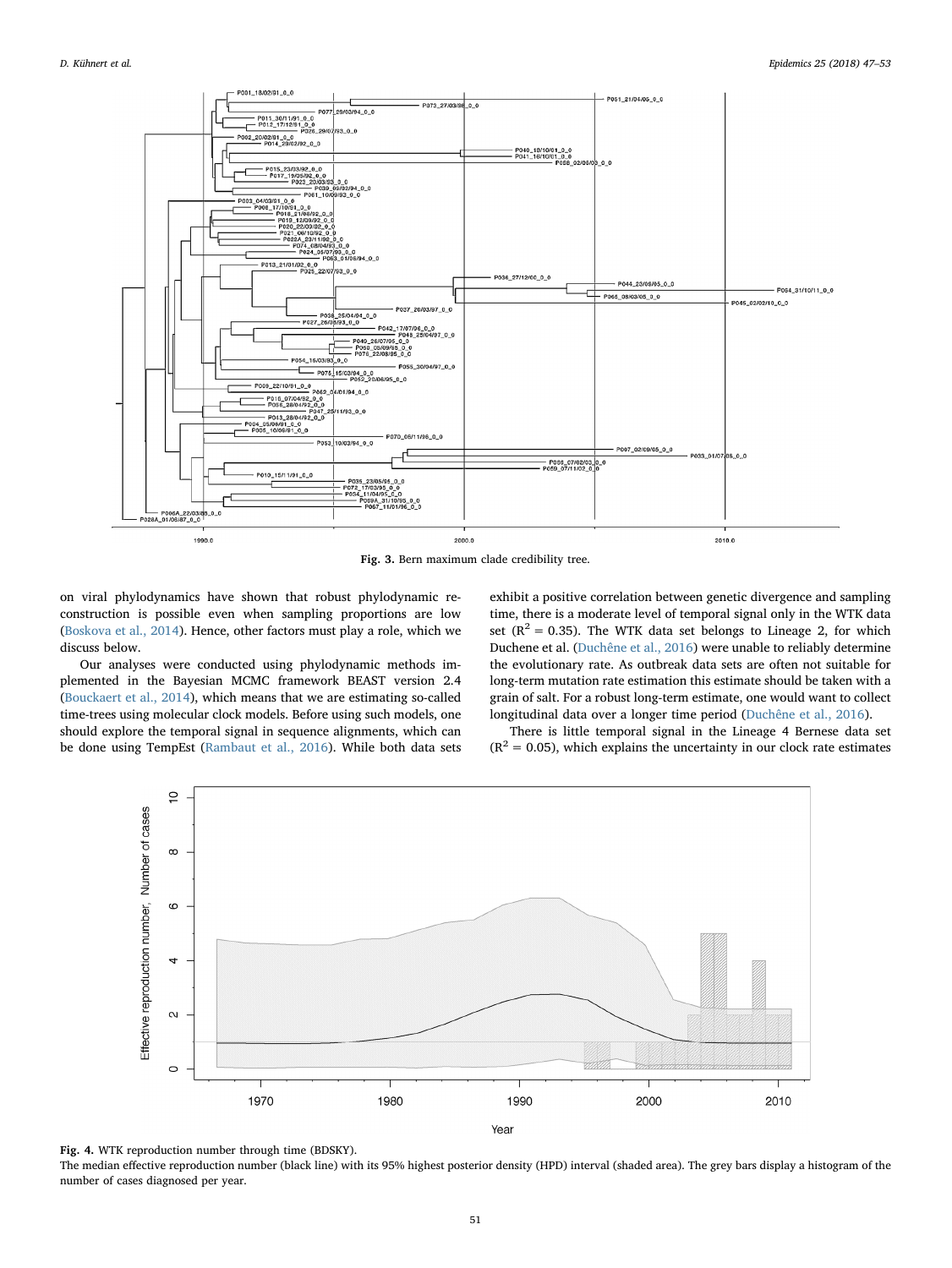<span id="page-4-0"></span>

Fig. 3. Bern maximum clade credibility tree.

on viral phylodynamics have shown that robust phylodynamic reconstruction is possible even when sampling proportions are low ([Boskova et al., 2014](#page-6-21)). Hence, other factors must play a role, which we discuss below.

Our analyses were conducted using phylodynamic methods implemented in the Bayesian MCMC framework BEAST version 2.4 ([Bouckaert et al., 2014\)](#page-6-9), which means that we are estimating so-called time-trees using molecular clock models. Before using such models, one should explore the temporal signal in sequence alignments, which can be done using TempEst [\(Rambaut et al., 2016](#page-6-8)). While both data sets exhibit a positive correlation between genetic divergence and sampling time, there is a moderate level of temporal signal only in the WTK data set ( $R^2$  = 0.35). The WTK data set belongs to Lineage 2, for which Duchene et al. ([Duchêne et al., 2016\)](#page-6-22) were unable to reliably determine the evolutionary rate. As outbreak data sets are often not suitable for long-term mutation rate estimation this estimate should be taken with a grain of salt. For a robust long-term estimate, one would want to collect longitudinal data over a longer time period [\(Duchêne et al., 2016](#page-6-22)).

There is little temporal signal in the Lineage 4 Bernese data set  $(R<sup>2</sup> = 0.05)$ , which explains the uncertainty in our clock rate estimates

<span id="page-4-1"></span>

Fig. 4. WTK reproduction number through time (BDSKY).

The median effective reproduction number (black line) with its 95% highest posterior density (HPD) interval (shaded area). The grey bars display a histogram of the number of cases diagnosed per year.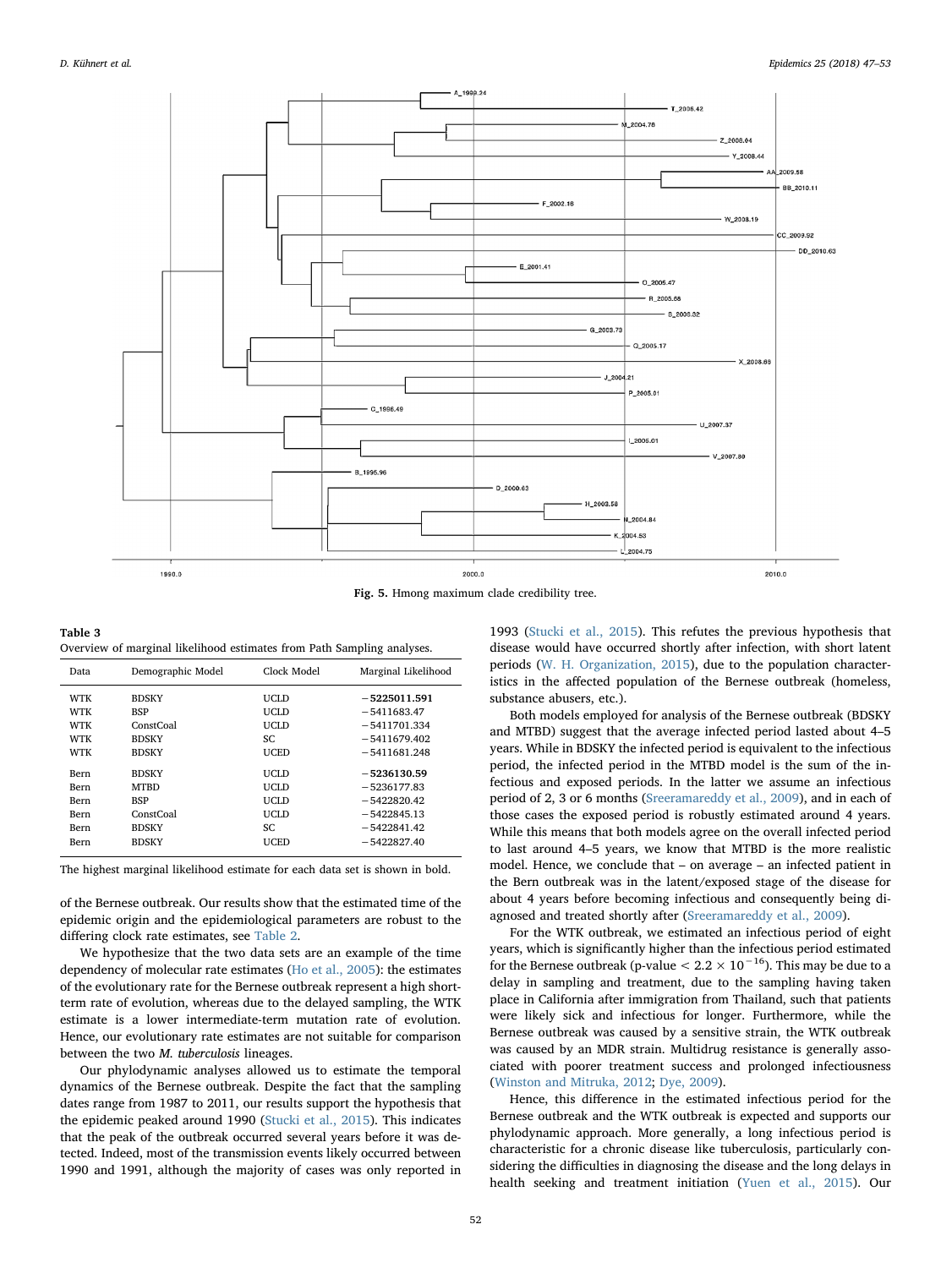<span id="page-5-0"></span>

Fig. 5. Hmong maximum clade credibility tree.

<span id="page-5-1"></span>

| Table 3                                                                |  |
|------------------------------------------------------------------------|--|
| Overview of marginal likelihood estimates from Path Sampling analyses. |  |

| Data        | Demographic Model | Clock Model | Marginal Likelihood |
|-------------|-------------------|-------------|---------------------|
| <b>WTK</b>  | <b>BDSKY</b>      | UCLD        | $-5225011.591$      |
| <b>WTK</b>  | <b>BSP</b>        | UCLD        | $-5411683.47$       |
| <b>WTK</b>  | ConstCoal         | UCLD        | $-5411701.334$      |
| WTK         | <b>BDSKY</b>      | SC.         | $-5411679.402$      |
| <b>WTK</b>  | <b>BDSKY</b>      | <b>UCED</b> | $-5411681.248$      |
| <b>Bern</b> | <b>BDSKY</b>      | UCLD        | $-5236130.59$       |
| Bern        | <b>MTBD</b>       | UCLD        | $-5236177.83$       |
| Bern        | <b>BSP</b>        | UCLD        | $-5422820.42$       |
| Bern        | ConstCoal         | UCLD        | $-5422845.13$       |
| Bern        | <b>BDSKY</b>      | SC.         | $-5422841.42$       |
| Bern        | <b>BDSKY</b>      | <b>UCED</b> | $-5422827.40$       |

The highest marginal likelihood estimate for each data set is shown in bold.

of the Bernese outbreak. Our results show that the estimated time of the epidemic origin and the epidemiological parameters are robust to the differing clock rate estimates, see [Table 2](#page-3-1).

We hypothesize that the two data sets are an example of the time dependency of molecular rate estimates ([Ho et al., 2005\)](#page-6-23): the estimates of the evolutionary rate for the Bernese outbreak represent a high shortterm rate of evolution, whereas due to the delayed sampling, the WTK estimate is a lower intermediate-term mutation rate of evolution. Hence, our evolutionary rate estimates are not suitable for comparison between the two M. tuberculosis lineages.

Our phylodynamic analyses allowed us to estimate the temporal dynamics of the Bernese outbreak. Despite the fact that the sampling dates range from 1987 to 2011, our results support the hypothesis that the epidemic peaked around 1990 ([Stucki et al., 2015\)](#page-6-2). This indicates that the peak of the outbreak occurred several years before it was detected. Indeed, most of the transmission events likely occurred between 1990 and 1991, although the majority of cases was only reported in

1993 [\(Stucki et al., 2015](#page-6-2)). This refutes the previous hypothesis that disease would have occurred shortly after infection, with short latent periods ([W. H. Organization, 2015\)](#page-6-24), due to the population characteristics in the affected population of the Bernese outbreak (homeless, substance abusers, etc.).

Both models employed for analysis of the Bernese outbreak (BDSKY and MTBD) suggest that the average infected period lasted about 4–5 years. While in BDSKY the infected period is equivalent to the infectious period, the infected period in the MTBD model is the sum of the infectious and exposed periods. In the latter we assume an infectious period of 2, 3 or 6 months ([Sreeramareddy et al., 2009](#page-6-25)), and in each of those cases the exposed period is robustly estimated around 4 years. While this means that both models agree on the overall infected period to last around 4–5 years, we know that MTBD is the more realistic model. Hence, we conclude that – on average – an infected patient in the Bern outbreak was in the latent/exposed stage of the disease for about 4 years before becoming infectious and consequently being diagnosed and treated shortly after [\(Sreeramareddy et al., 2009](#page-6-25)).

For the WTK outbreak, we estimated an infectious period of eight years, which is significantly higher than the infectious period estimated for the Bernese outbreak (p-value  $< 2.2 \times 10^{-16}$ ). This may be due to a delay in sampling and treatment, due to the sampling having taken place in California after immigration from Thailand, such that patients were likely sick and infectious for longer. Furthermore, while the Bernese outbreak was caused by a sensitive strain, the WTK outbreak was caused by an MDR strain. Multidrug resistance is generally associated with poorer treatment success and prolonged infectiousness ([Winston and Mitruka, 2012;](#page-6-26) [Dye, 2009](#page-6-27)).

Hence, this difference in the estimated infectious period for the Bernese outbreak and the WTK outbreak is expected and supports our phylodynamic approach. More generally, a long infectious period is characteristic for a chronic disease like tuberculosis, particularly considering the difficulties in diagnosing the disease and the long delays in health seeking and treatment initiation [\(Yuen et al., 2015\)](#page-6-28). Our